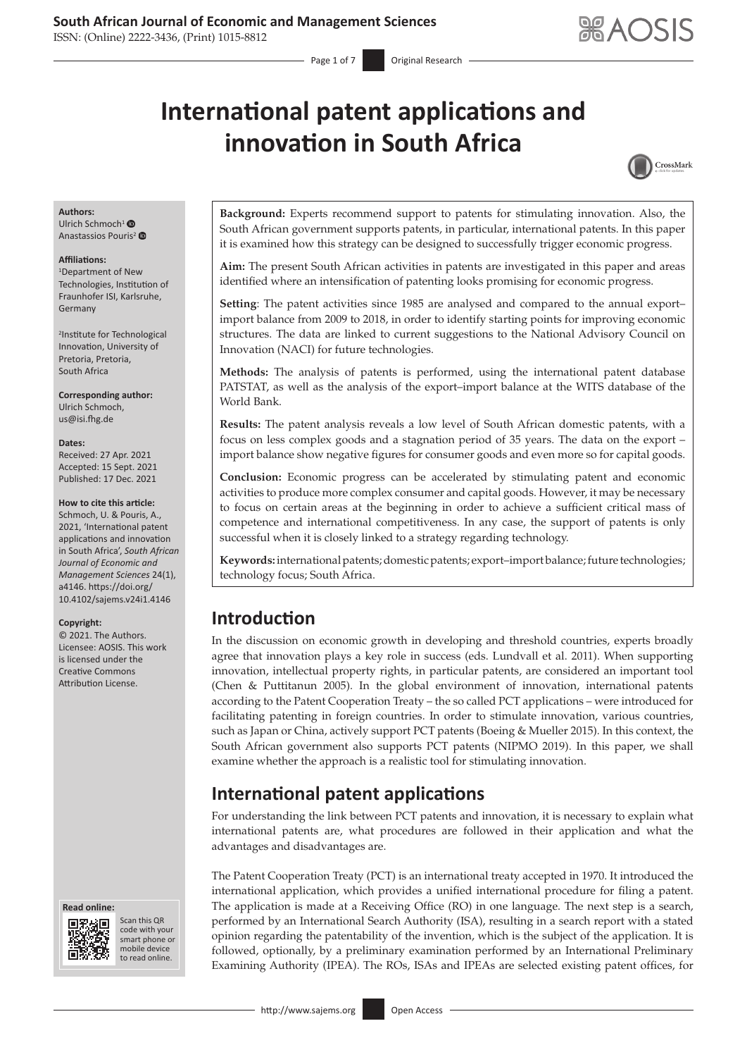ISSN: (Online) 2222-3436, (Print) 1015-8812

# **International patent applications and innovation in South Africa**



#### **Authors:**

Ulrich Schmoch<sup>[1](https://orcid.org/0000-0001-8615-5115)</sup> <sup>O</sup> Anastassios Pouris<sup>[2](https://orcid.org/0000-0002-5367-2498)</sup>

#### **Affiliations:**

1 Department of New Technologies, Institution of Fraunhofer ISI, Karlsruhe, Germany

2 Institute for Technological Innovation, University of Pretoria, Pretoria, South Africa

**Corresponding author:** Ulrich Schmoch, [us@isi.fhg.de](mailto:us@isi.fhg.de)

#### **Dates:**

Received: 27 Apr. 2021 Accepted: 15 Sept. 2021 Published: 17 Dec. 2021

#### **How to cite this article:**

Schmoch, U. & Pouris, A., 2021, 'International patent applications and innovation in South Africa', *South African Journal of Economic and Management Sciences* 24(1), a4146. [https://doi.org/](https://doi.org/​10.4102/sajems.v24i1.4146) [10.4102/sajems.v24i1.4146](https://doi.org/​10.4102/sajems.v24i1.4146)

#### **Copyright:**

© 2021. The Authors. Licensee: AOSIS. This work is licensed under the Creative Commons Attribution License.





Scan this QR code with your Scan this QR<br>code with your<br>smart phone or<br>mobile device mobile device to read online. to read online.

**Background:** Experts recommend support to patents for stimulating innovation. Also, the South African government supports patents, in particular, international patents. In this paper it is examined how this strategy can be designed to successfully trigger economic progress.

**Aim:** The present South African activities in patents are investigated in this paper and areas identified where an intensification of patenting looks promising for economic progress.

**Setting**: The patent activities since 1985 are analysed and compared to the annual export– import balance from 2009 to 2018, in order to identify starting points for improving economic structures. The data are linked to current suggestions to the National Advisory Council on Innovation (NACI) for future technologies.

**Methods:** The analysis of patents is performed, using the international patent database PATSTAT, as well as the analysis of the export–import balance at the WITS database of the World Bank.

**Results:** The patent analysis reveals a low level of South African domestic patents, with a focus on less complex goods and a stagnation period of 35 years. The data on the export – import balance show negative figures for consumer goods and even more so for capital goods.

**Conclusion:** Economic progress can be accelerated by stimulating patent and economic activities to produce more complex consumer and capital goods. However, it may be necessary to focus on certain areas at the beginning in order to achieve a sufficient critical mass of competence and international competitiveness. In any case, the support of patents is only successful when it is closely linked to a strategy regarding technology.

**Keywords:** international patents; domestic patents; export–import balance; future technologies; technology focus; South Africa.

### **Introduction**

In the discussion on economic growth in developing and threshold countries, experts broadly agree that innovation plays a key role in success (eds. Lundvall et al. 2011). When supporting innovation, intellectual property rights, in particular patents, are considered an important tool (Chen & Puttitanun 2005). In the global environment of innovation, international patents according to the Patent Cooperation Treaty – the so called PCT applications – were introduced for facilitating patenting in foreign countries. In order to stimulate innovation, various countries, such as Japan or China, actively support PCT patents (Boeing & Mueller 2015). In this context, the South African government also supports PCT patents (NIPMO 2019). In this paper, we shall examine whether the approach is a realistic tool for stimulating innovation.

# **International patent applications**

For understanding the link between PCT patents and innovation, it is necessary to explain what international patents are, what procedures are followed in their application and what the advantages and disadvantages are.

The Patent Cooperation Treaty (PCT) is an international treaty accepted in 1970. It introduced the international application, which provides a unified international procedure for filing a patent. The application is made at a Receiving Office (RO) in one language. The next step is a search, performed by an International Search Authority (ISA), resulting in a search report with a stated opinion regarding the patentability of the invention, which is the subject of the application. It is followed, optionally, by a preliminary examination performed by an International Preliminary Examining Authority (IPEA). The ROs, ISAs and IPEAs are selected existing patent offices, for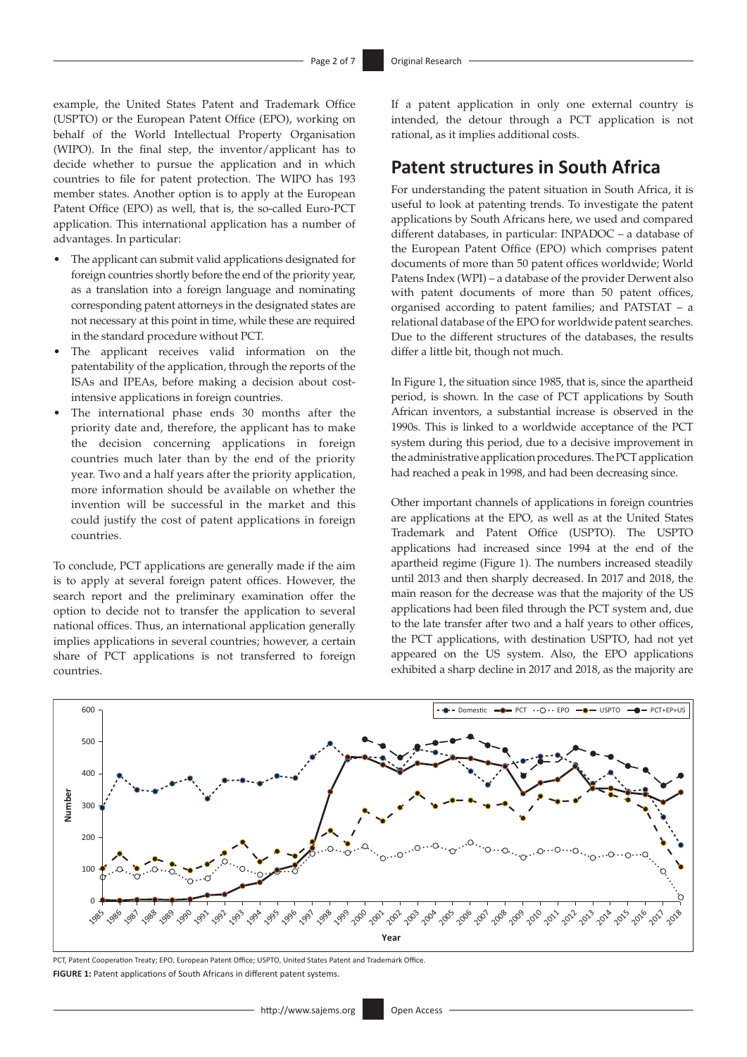example, the United States Patent and Trademark Office (USPTO) or the European Patent Office (EPO), working on behalf of the World Intellectual Property Organisation (WIPO). In the final step, the inventor/applicant has to decide whether to pursue the application and in which countries to file for patent protection. The WIPO has 193 member states. Another option is to apply at the European Patent Office (EPO) as well, that is, the so-called Euro-PCT application. This international application has a number of advantages. In particular:

- The applicant can submit valid applications designated for foreign countries shortly before the end of the priority year, as a translation into a foreign language and nominating corresponding patent attorneys in the designated states are not necessary at this point in time, while these are required in the standard procedure without PCT.
- The applicant receives valid information on the patentability of the application, through the reports of the ISAs and IPEAs, before making a decision about costintensive applications in foreign countries.
- The international phase ends 30 months after the priority date and, therefore, the applicant has to make the decision concerning applications in foreign countries much later than by the end of the priority year. Two and a half years after the priority application, more information should be available on whether the invention will be successful in the market and this could justify the cost of patent applications in foreign countries.

To conclude, PCT applications are generally made if the aim is to apply at several foreign patent offices. However, the search report and the preliminary examination offer the option to decide not to transfer the application to several national offices. Thus, an international application generally implies applications in several countries; however, a certain share of PCT applications is not transferred to foreign countries.

If a patent application in only one external country is intended, the detour through a PCT application is not rational, as it implies additional costs.

### **Patent structures in South Africa**

For understanding the patent situation in South Africa, it is useful to look at patenting trends. To investigate the patent applications by South Africans here, we used and compared different databases, in particular: INPADOC – a database of the European Patent Office (EPO) which comprises patent documents of more than 50 patent offices worldwide; World Patens Index (WPI) – a database of the provider Derwent also with patent documents of more than 50 patent offices, organised according to patent families; and PATSTAT – a relational database of the EPO for worldwide patent searches. Due to the different structures of the databases, the results differ a little bit, though not much.

In Figure 1, the situation since 1985, that is, since the apartheid period, is shown. In the case of PCT applications by South African inventors, a substantial increase is observed in the 1990s. This is linked to a worldwide acceptance of the PCT system during this period, due to a decisive improvement in the administrative application procedures. The PCT application had reached a peak in 1998, and had been decreasing since.

Other important channels of applications in foreign countries are applications at the EPO, as well as at the United States Trademark and Patent Office (USPTO). The USPTO applications had increased since 1994 at the end of the apartheid regime (Figure 1). The numbers increased steadily until 2013 and then sharply decreased. In 2017 and 2018, the main reason for the decrease was that the majority of the US applications had been filed through the PCT system and, due to the late transfer after two and a half years to other offices, the PCT applications, with destination USPTO, had not yet appeared on the US system. Also, the EPO applications exhibited a sharp decline in 2017 and 2018, as the majority are



PCT, Patent Cooperation Treaty; EPO, European Patent Office; USPTO, United States Patent and Trademark Office. **FIGURE 1:** Patent applications of South Africans in different patent systems.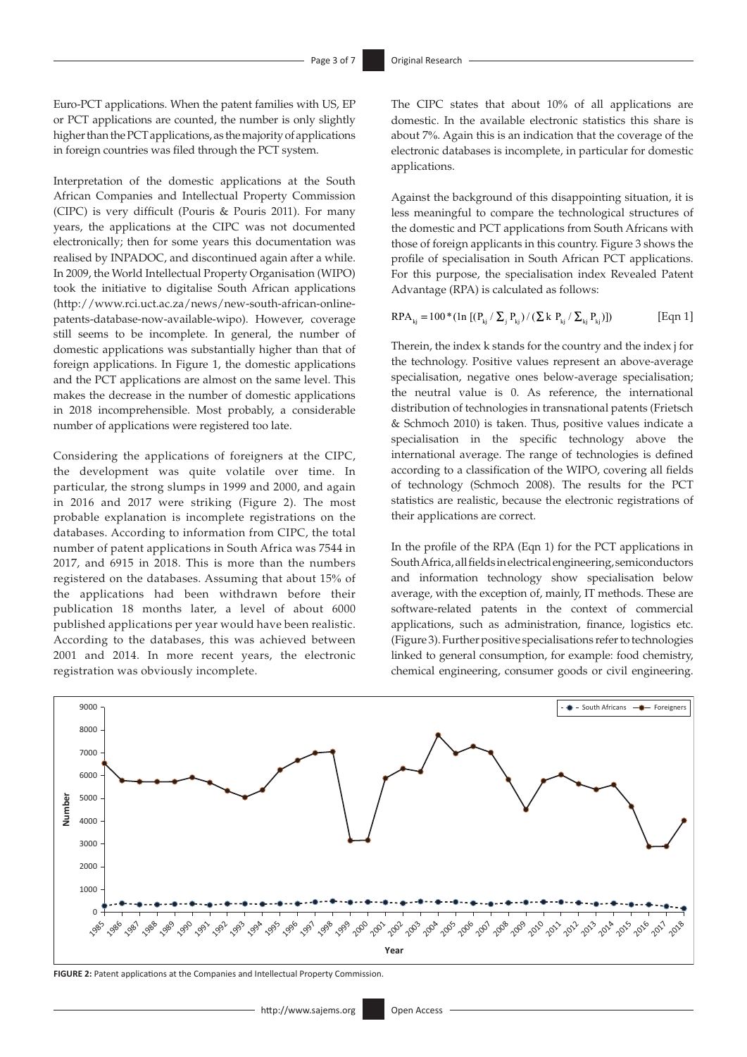Euro-PCT applications. When the patent families with US, EP or PCT applications are counted, the number is only slightly higher than the PCT applications, as the majority of applications in foreign countries was filed through the PCT system.

Interpretation of the domestic applications at the South African Companies and Intellectual Property Commission (CIPC) is very difficult (Pouris & Pouris 2011). For many years, the applications at the CIPC was not documented electronically; then for some years this documentation was realised by INPADOC, and discontinued again after a while. In 2009, the World Intellectual Property Organisation (WIPO) took the initiative to digitalise South African applications ([http://www.rci.uct.ac.za/news/new-south-african-online](http://www.rci.uct.ac.za/news/new-south-african-online-patents-database-now-available-wipo)[patents-database-now-available-wipo\)](http://www.rci.uct.ac.za/news/new-south-african-online-patents-database-now-available-wipo). However, coverage still seems to be incomplete. In general, the number of domestic applications was substantially higher than that of foreign applications. In Figure 1, the domestic applications and the PCT applications are almost on the same level. This makes the decrease in the number of domestic applications in 2018 incomprehensible. Most probably, a considerable number of applications were registered too late.

Considering the applications of foreigners at the CIPC, the development was quite volatile over time. In particular, the strong slumps in 1999 and 2000, and again in 2016 and 2017 were striking (Figure 2). The most probable explanation is incomplete registrations on the databases. According to information from CIPC, the total number of patent applications in South Africa was 7544 in 2017, and 6915 in 2018. This is more than the numbers registered on the databases. Assuming that about 15% of the applications had been withdrawn before their publication 18 months later, a level of about 6000 published applications per year would have been realistic. According to the databases, this was achieved between 2001 and 2014. In more recent years, the electronic registration was obviously incomplete.

The CIPC states that about 10% of all applications are domestic. In the available electronic statistics this share is about 7%. Again this is an indication that the coverage of the electronic databases is incomplete, in particular for domestic applications.

Against the background of this disappointing situation, it is less meaningful to compare the technological structures of the domestic and PCT applications from South Africans with those of foreign applicants in this country. Figure 3 shows the profile of specialisation in South African PCT applications. For this purpose, the specialisation index Revealed Patent Advantage (RPA) is calculated as follows:

$$
RPA_{kj} = 100 * (ln [(P_{kj} / \sum_{j} P_{kj}) / (\sum k P_{kj} / \sum_{kj} P_{kj})])
$$
 [Eqn 1]

Therein, the index k stands for the country and the index j for the technology. Positive values represent an above-average specialisation, negative ones below-average specialisation; the neutral value is 0. As reference, the international distribution of technologies in transnational patents (Frietsch & Schmoch 2010) is taken. Thus, positive values indicate a specialisation in the specific technology above the international average. The range of technologies is defined according to a classification of the WIPO, covering all fields of technology (Schmoch 2008). The results for the PCT statistics are realistic, because the electronic registrations of their applications are correct.

In the profile of the RPA (Eqn 1) for the PCT applications in South Africa, all fields in electrical engineering, semiconductors and information technology show specialisation below average, with the exception of, mainly, IT methods. These are software-related patents in the context of commercial applications, such as administration, finance, logistics etc. (Figure 3). Further positive specialisations refer to technologies linked to general consumption, for example: food chemistry, chemical engineering, consumer goods or civil engineering.



**FIGURE 2:** Patent applications at the Companies and Intellectual Property Commission.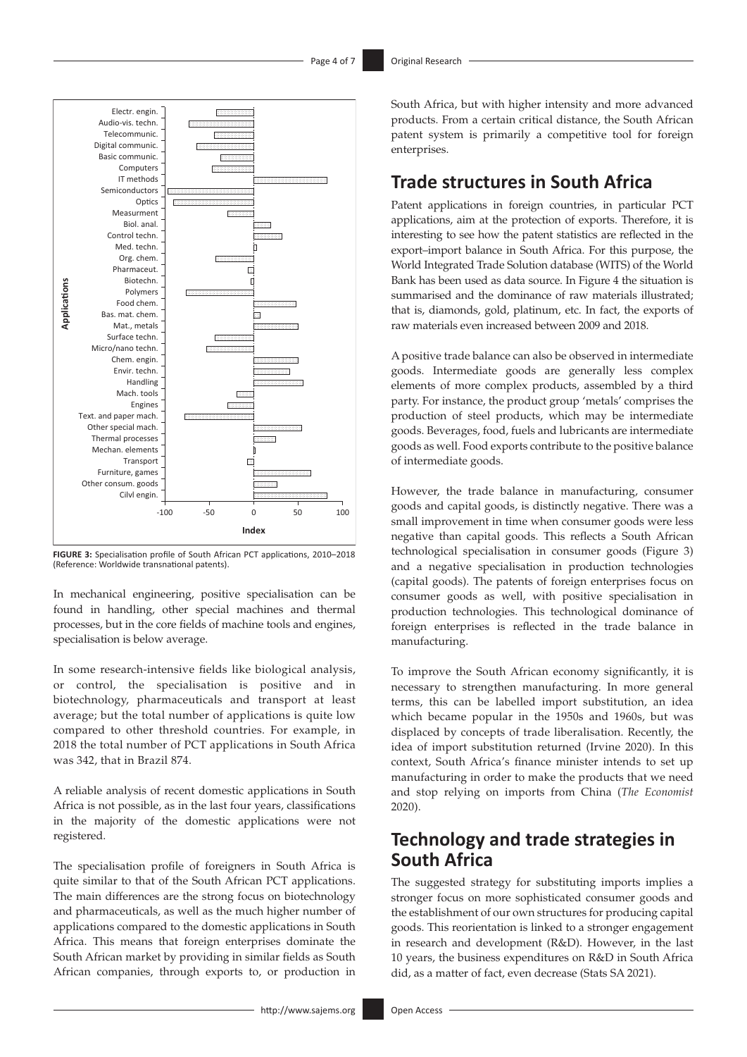

**FIGURE 3:** Specialisation profile of South African PCT applications, 2010–2018 (Reference: Worldwide transnational patents).

In mechanical engineering, positive specialisation can be found in handling, other special machines and thermal processes, but in the core fields of machine tools and engines, specialisation is below average.

In some research-intensive fields like biological analysis, or control, the specialisation is positive and in biotechnology, pharmaceuticals and transport at least average; but the total number of applications is quite low compared to other threshold countries. For example, in 2018 the total number of PCT applications in South Africa was 342, that in Brazil 874.

A reliable analysis of recent domestic applications in South Africa is not possible, as in the last four years, classifications in the majority of the domestic applications were not registered.

The specialisation profile of foreigners in South Africa is quite similar to that of the South African PCT applications. The main differences are the strong focus on biotechnology and pharmaceuticals, as well as the much higher number of applications compared to the domestic applications in South Africa. This means that foreign enterprises dominate the South African market by providing in similar fields as South African companies, through exports to, or production in South Africa, but with higher intensity and more advanced products. From a certain critical distance, the South African patent system is primarily a competitive tool for foreign enterprises.

## **Trade structures in South Africa**

Patent applications in foreign countries, in particular PCT applications, aim at the protection of exports. Therefore, it is interesting to see how the patent statistics are reflected in the export–import balance in South Africa. For this purpose, the World Integrated Trade Solution database (WITS) of the World Bank has been used as data source. In Figure 4 the situation is summarised and the dominance of raw materials illustrated; that is, diamonds, gold, platinum, etc. In fact, the exports of raw materials even increased between 2009 and 2018.

A positive trade balance can also be observed in intermediate goods. Intermediate goods are generally less complex elements of more complex products, assembled by a third party. For instance, the product group 'metals' comprises the production of steel products, which may be intermediate goods. Beverages, food, fuels and lubricants are intermediate goods as well. Food exports contribute to the positive balance of intermediate goods.

However, the trade balance in manufacturing, consumer goods and capital goods, is distinctly negative. There was a small improvement in time when consumer goods were less negative than capital goods. This reflects a South African technological specialisation in consumer goods (Figure 3) and a negative specialisation in production technologies (capital goods). The patents of foreign enterprises focus on consumer goods as well, with positive specialisation in production technologies. This technological dominance of foreign enterprises is reflected in the trade balance in manufacturing.

To improve the South African economy significantly, it is necessary to strengthen manufacturing. In more general terms, this can be labelled import substitution, an idea which became popular in the 1950s and 1960s, but was displaced by concepts of trade liberalisation. Recently, the idea of import substitution returned (Irvine 2020). In this context, South Africa's finance minister intends to set up manufacturing in order to make the products that we need and stop relying on imports from China (*The Economist* 2020).

# **Technology and trade strategies in South Africa**

The suggested strategy for substituting imports implies a stronger focus on more sophisticated consumer goods and the establishment of our own structures for producing capital goods. This reorientation is linked to a stronger engagement in research and development (R&D). However, in the last 10 years, the business expenditures on R&D in South Africa did, as a matter of fact, even decrease (Stats SA 2021).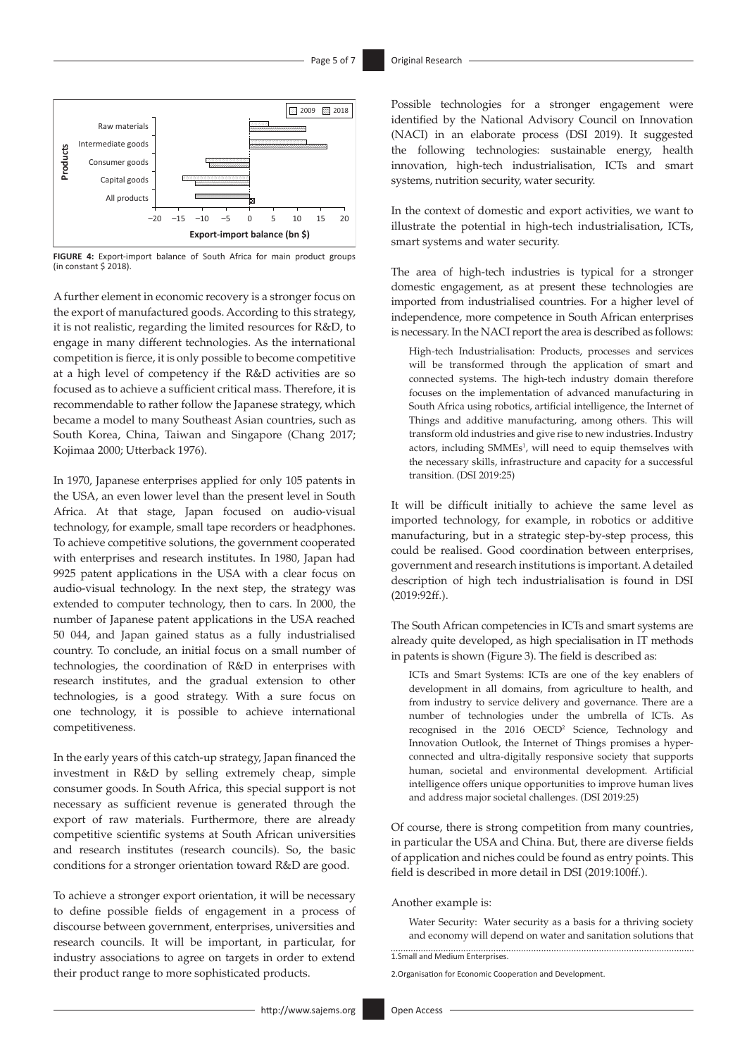

**FIGURE 4:** Export-import balance of South Africa for main product groups (in constant  $\frac{1}{2}$  2018)

A further element in economic recovery is a stronger focus on the export of manufactured goods. According to this strategy, it is not realistic, regarding the limited resources for R&D, to engage in many different technologies. As the international competition is fierce, it is only possible to become competitive at a high level of competency if the R&D activities are so focused as to achieve a sufficient critical mass. Therefore, it is recommendable to rather follow the Japanese strategy, which became a model to many Southeast Asian countries, such as South Korea, China, Taiwan and Singapore (Chang 2017; Kojimaa 2000; Utterback 1976).

In 1970, Japanese enterprises applied for only 105 patents in the USA, an even lower level than the present level in South Africa. At that stage, Japan focused on audio-visual technology, for example, small tape recorders or headphones. To achieve competitive solutions, the government cooperated with enterprises and research institutes. In 1980, Japan had 9925 patent applications in the USA with a clear focus on audio-visual technology. In the next step, the strategy was extended to computer technology, then to cars. In 2000, the number of Japanese patent applications in the USA reached 50 044, and Japan gained status as a fully industrialised country. To conclude, an initial focus on a small number of technologies, the coordination of R&D in enterprises with research institutes, and the gradual extension to other technologies, is a good strategy. With a sure focus on one technology, it is possible to achieve international competitiveness.

In the early years of this catch-up strategy, Japan financed the investment in R&D by selling extremely cheap, simple consumer goods. In South Africa, this special support is not necessary as sufficient revenue is generated through the export of raw materials. Furthermore, there are already competitive scientific systems at South African universities and research institutes (research councils). So, the basic conditions for a stronger orientation toward R&D are good.

To achieve a stronger export orientation, it will be necessary to define possible fields of engagement in a process of discourse between government, enterprises, universities and research councils. It will be important, in particular, for industry associations to agree on targets in order to extend their product range to more sophisticated products.

Possible technologies for a stronger engagement were identified by the National Advisory Council on Innovation (NACI) in an elaborate process (DSI 2019). It suggested the following technologies: sustainable energy, health innovation, high-tech industrialisation, ICTs and smart systems, nutrition security, water security.

In the context of domestic and export activities, we want to illustrate the potential in high-tech industrialisation, ICTs, smart systems and water security.

The area of high-tech industries is typical for a stronger domestic engagement, as at present these technologies are imported from industrialised countries. For a higher level of independence, more competence in South African enterprises is necessary. In the NACI report the area is described as follows:

High-tech Industrialisation: Products, processes and services will be transformed through the application of smart and connected systems. The high-tech industry domain therefore focuses on the implementation of advanced manufacturing in South Africa using robotics, artificial intelligence, the Internet of Things and additive manufacturing, among others. This will transform old industries and give rise to new industries. Industry actors, including SMMEs<sup>1</sup>, will need to equip themselves with the necessary skills, infrastructure and capacity for a successful transition. (DSI 2019:25)

It will be difficult initially to achieve the same level as imported technology, for example, in robotics or additive manufacturing, but in a strategic step-by-step process, this could be realised. Good coordination between enterprises, government and research institutions is important. A detailed description of high tech industrialisation is found in DSI (2019:92ff.).

The South African competencies in ICTs and smart systems are already quite developed, as high specialisation in IT methods in patents is shown (Figure 3). The field is described as:

ICTs and Smart Systems: ICTs are one of the key enablers of development in all domains, from agriculture to health, and from industry to service delivery and governance. There are a number of technologies under the umbrella of ICTs. As recognised in the 2016 OECD<sup>2</sup> Science, Technology and Innovation Outlook, the Internet of Things promises a hyperconnected and ultra-digitally responsive society that supports human, societal and environmental development. Artificial intelligence offers unique opportunities to improve human lives and address major societal challenges. (DSI 2019:25)

Of course, there is strong competition from many countries, in particular the USA and China. But, there are diverse fields of application and niches could be found as entry points. This field is described in more detail in DSI (2019:100ff.).

Another example is:

Water Security: Water security as a basis for a thriving society and economy will depend on water and sanitation solutions that

1.Small and Medium Enterprises.

2.Organisation for Economic Cooperation and Development.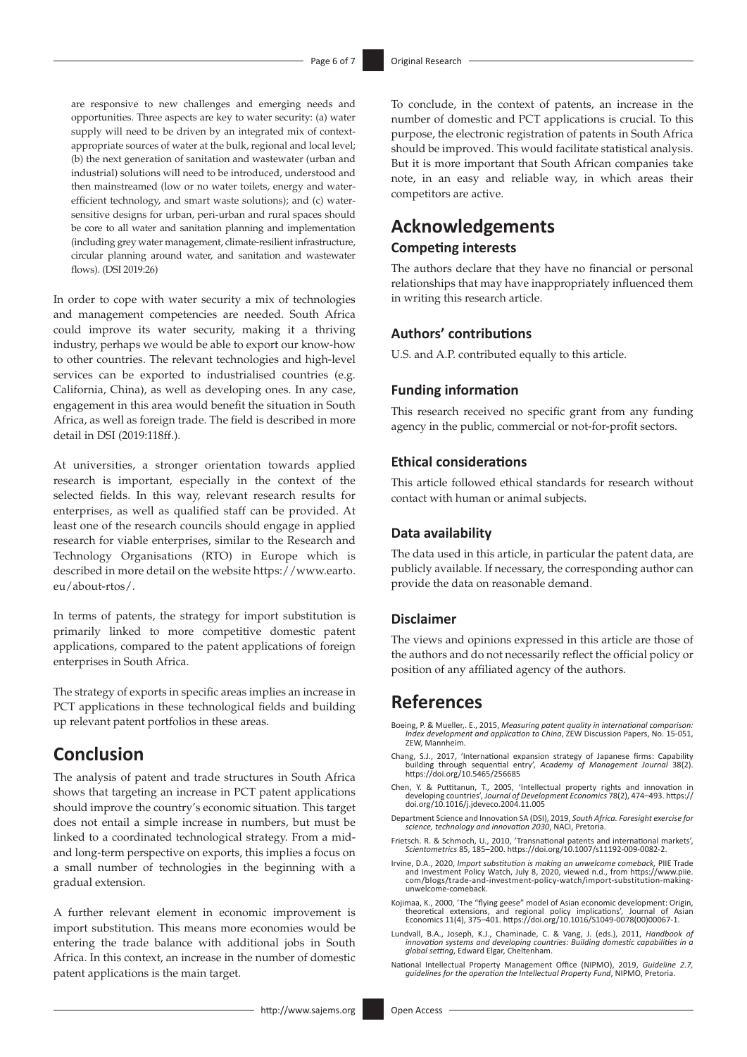are responsive to new challenges and emerging needs and opportunities. Three aspects are key to water security: (a) water supply will need to be driven by an integrated mix of contextappropriate sources of water at the bulk, regional and local level; (b) the next generation of sanitation and wastewater (urban and industrial) solutions will need to be introduced, understood and then mainstreamed (low or no water toilets, energy and waterefficient technology, and smart waste solutions); and (c) watersensitive designs for urban, peri-urban and rural spaces should be core to all water and sanitation planning and implementation (including grey water management, climate-resilient infrastructure, circular planning around water, and sanitation and wastewater flows). (DSI 2019:26)

In order to cope with water security a mix of technologies and management competencies are needed. South Africa could improve its water security, making it a thriving industry, perhaps we would be able to export our know-how to other countries. The relevant technologies and high-level services can be exported to industrialised countries (e.g. California, China), as well as developing ones. In any case, engagement in this area would benefit the situation in South Africa, as well as foreign trade. The field is described in more detail in DSI (2019:118ff.).

At universities, a stronger orientation towards applied research is important, especially in the context of the selected fields. In this way, relevant research results for enterprises, as well as qualified staff can be provided. At least one of the research councils should engage in applied research for viable enterprises, similar to the Research and Technology Organisations (RTO) in Europe which is described in more detail on the website [https://www.earto.](https://www.earto.eu/about-rtos/) [eu/about-rtos/](https://www.earto.eu/about-rtos/).

In terms of patents, the strategy for import substitution is primarily linked to more competitive domestic patent applications, compared to the patent applications of foreign enterprises in South Africa.

The strategy of exports in specific areas implies an increase in PCT applications in these technological fields and building up relevant patent portfolios in these areas.

### **Conclusion**

The analysis of patent and trade structures in South Africa shows that targeting an increase in PCT patent applications should improve the country's economic situation. This target does not entail a simple increase in numbers, but must be linked to a coordinated technological strategy. From a midand long-term perspective on exports, this implies a focus on a small number of technologies in the beginning with a gradual extension.

A further relevant element in economic improvement is import substitution. This means more economies would be entering the trade balance with additional jobs in South Africa. In this context, an increase in the number of domestic patent applications is the main target.

To conclude, in the context of patents, an increase in the number of domestic and PCT applications is crucial. To this purpose, the electronic registration of patents in South Africa should be improved. This would facilitate statistical analysis. But it is more important that South African companies take note, in an easy and reliable way, in which areas their competitors are active.

### **Acknowledgements Competing interests**

The authors declare that they have no financial or personal relationships that may have inappropriately influenced them in writing this research article.

### **Authors' contributions**

U.S. and A.P. contributed equally to this article.

### **Funding information**

This research received no specific grant from any funding agency in the public, commercial or not-for-profit sectors.

### **Ethical considerations**

This article followed ethical standards for research without contact with human or animal subjects.

### **Data availability**

The data used in this article, in particular the patent data, are publicly available. If necessary, the corresponding author can provide the data on reasonable demand.

### **Disclaimer**

The views and opinions expressed in this article are those of the authors and do not necessarily reflect the official policy or position of any affiliated agency of the authors.

### **References**

- Boeing, P. & Mueller,. E., 2015, *Measuring patent quality in international comparison: Index development and application to China*, ZEW Discussion Papers, No. 15-051, ZEW, Mannheim.
- Chang, S.J., 2017, 'International expansion strategy of Japanese firms: Capability building through sequential entry', *Academy of Management Journal* 38(2). <https://doi.org/10.5465/256685>
- Chen, Y. & Puttitanun, T., 2005, 'Intellectual property rights and innovation in developing countries', *Journal of Development Economics* 78(2), 474–493. [https://](https://doi.org/10.1016/j.jdeveco.2004.11.005) [doi.org/10.1016/j.jdeveco.2004.11.005](https://doi.org/10.1016/j.jdeveco.2004.11.005)
- Department Science and Innovation SA (DSI), 2019, *South Africa. Foresight exercise for science, technology and innovation 2030*, NACI, Pretoria.
- Frietsch. R. & Schmoch, U., 2010, 'Transnational patents and international markets', *Scientometrics* 85, 185–200. <https://doi.org/10.1007/s11192-009-0082-2>.
- Irvine, D.A., 2020, *Import substitution is making an unwelcome comeback,* PIIE Trade and Investment Policy Watch, July 8, 2020, viewed n.d., from [https://www.piie.](https://www.piie.com/blogs/trade-and-investment-policy-watch/import-substitution-making-unwelcome-comeback) [com/blogs/trade-and-investment-policy-watch/import-substitution-making](https://www.piie.com/blogs/trade-and-investment-policy-watch/import-substitution-making-unwelcome-comeback)[unwelcome-comeback](https://www.piie.com/blogs/trade-and-investment-policy-watch/import-substitution-making-unwelcome-comeback).
- Kojimaa, K., 2000, 'The "flying geese" model of Asian economic development: Origin, theoretical extensions, and regional policy implications', Journal of Asian Economics 11(4), 375–401. [https://doi.org/10.1016/S1049-0078\(00\)00067-1](https://doi.org/10.1016/S1049-0078(00)00067-1).
- Lundvall, B.A., Joseph, K.J., Chaminade, C. & Vang, J. (eds.), 2011, Handbook of<br>innovation systems and developing countries: Building domestic capabilities in a<br>global setting, Edward Elgar, Cheltenham.
- National Intellectual Property Management Office (NIPMO), 2019, *Guideline 2.7, guidelines for the operation the Intellectual Property Fund*, NIPMO, Pretoria.